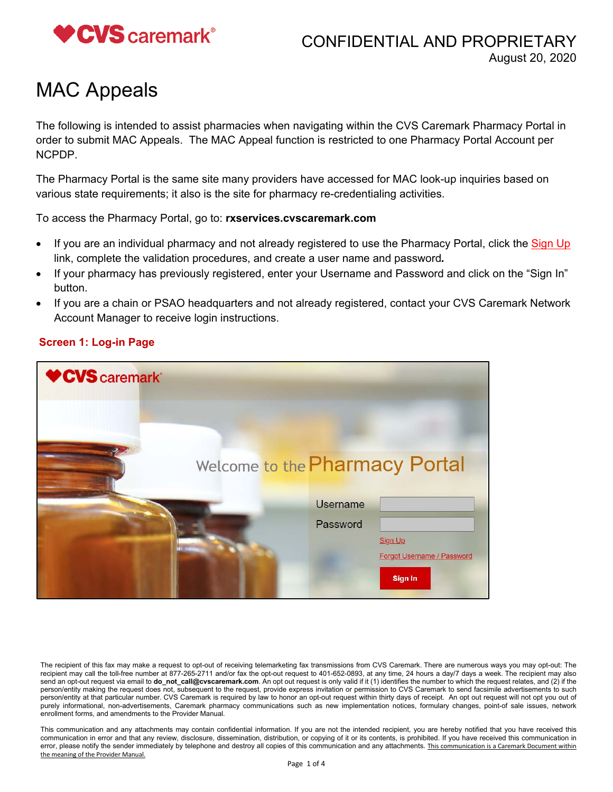

## CONFIDENTIAL AND PROPRIETARY August 20, 2020

# MAC Appeals

The following is intended to assist pharmacies when navigating within the CVS Caremark Pharmacy Portal in order to submit MAC Appeals. The MAC Appeal function is restricted to one Pharmacy Portal Account per NCPDP.

The Pharmacy Portal is the same site many providers have accessed for MAC look-up inquiries based on various state requirements; it also is the site for pharmacy re-credentialing activities.

To access the Pharmacy Portal, go to: **rxservices.cvscaremark.com** 

- If you are an individual pharmacy and not already registered to use the Pharmacy Portal, click the Sign Up link, complete the validation procedures, and create a user name and password*.*
- If your pharmacy has previously registered, enter your Username and Password and click on the "Sign In" button.
- If you are a chain or PSAO headquarters and not already registered, contact your CVS Caremark Network Account Manager to receive login instructions.



#### **Screen 1: Log-in Page**

The recipient of this fax may make a request to opt-out of receiving telemarketing fax transmissions from CVS Caremark. There are numerous ways you may opt-out: The recipient may call the toll-free number at 877-265-2711 and/or fax the opt-out request to 401-652-0893, at any time, 24 hours a day/7 days a week. The recipient may also send an opt-out request via email to **do\_not\_call@cvscaremark.com**. An opt out request is only valid if it (1) identifies the number to which the request relates, and (2) if the person/entity making the request does not, subsequent to the request, provide express invitation or permission to CVS Caremark to send facsimile advertisements to such person/entity at that particular number. CVS Caremark is required by law to honor an opt-out request within thirty days of receipt. An opt out request will not opt you out of purely informational, non-advertisements, Caremark pharmacy communications such as new implementation notices, formulary changes, point-of sale issues, network enrollment forms, and amendments to the Provider Manual.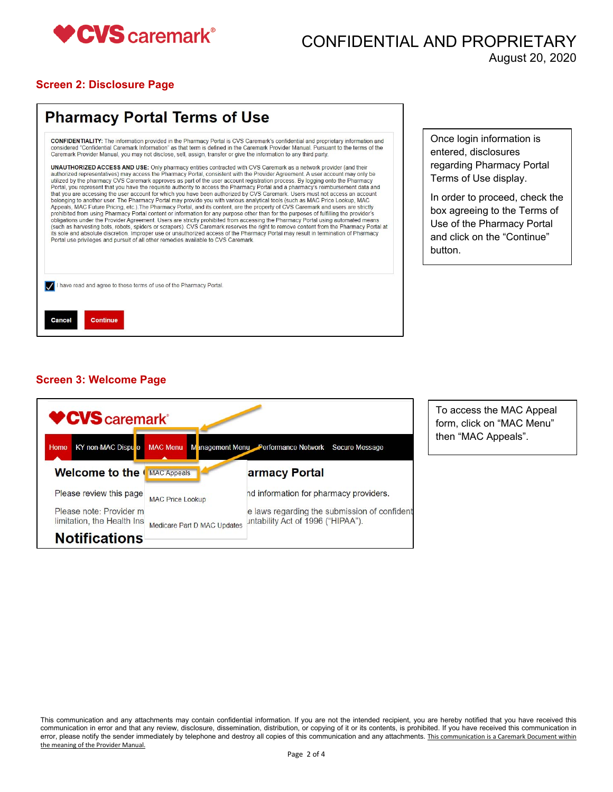

### CONFIDENTIAL AND PROPRIETARY August 20, 2020

#### **Screen 2: Disclosure Page**

| <b>CONFIDENTIALITY:</b> The information provided in the Pharmacy Portal is CVS Caremark's confidential and proprietary information and<br>considered "Confidential Caremark Information" as that term is defined in the Caremark Provider Manual, Pursuant to the terms of the<br>Caremark Provider Manual, you may not disclose, sell, assign, transfer or give the information to any third party.                                                                                                                                                                                                                                                                                                                                                                                                                                                                                                                                                                                                                                                                                                                                                                                                                                                                                                                                                                                                                                                                                                                                                                                   |
|----------------------------------------------------------------------------------------------------------------------------------------------------------------------------------------------------------------------------------------------------------------------------------------------------------------------------------------------------------------------------------------------------------------------------------------------------------------------------------------------------------------------------------------------------------------------------------------------------------------------------------------------------------------------------------------------------------------------------------------------------------------------------------------------------------------------------------------------------------------------------------------------------------------------------------------------------------------------------------------------------------------------------------------------------------------------------------------------------------------------------------------------------------------------------------------------------------------------------------------------------------------------------------------------------------------------------------------------------------------------------------------------------------------------------------------------------------------------------------------------------------------------------------------------------------------------------------------|
| <b>UNAUTHORIZED ACCESS AND USE:</b> Only pharmacy entities contracted with CVS Caremark as a network provider (and their<br>authorized representatives) may access the Pharmacy Portal, consistent with the Provider Agreement. A user account may only be<br>utilized by the pharmacy CVS Caremark approves as part of the user account registration process. By logging onto the Pharmacy<br>Portal, you represent that you have the requisite authority to access the Pharmacy Portal and a pharmacy's reimbursement data and<br>that you are accessing the user account for which you have been authorized by CVS Caremark. Users must not access an account<br>belonging to another user. The Pharmacy Portal may provide you with various analytical tools (such as MAC Price Lookup, MAC<br>Appeals, MAC Future Pricing, etc.). The Pharmacy Portal, and its content, are the property of CVS Caremark and users are strictly<br>prohibited from using Pharmacy Portal content or information for any purpose other than for the purposes of fulfilling the provider's<br>obligations under the Provider Agreement. Users are strictly prohibited from accessing the Pharmacy Portal using automated means<br>(such as harvesting bots, robots, spiders or scrapers). CVS Caremark reserves the right to remove content from the Pharmacy Portal at<br>its sole and absolute discretion. Improper use or unauthorized access of the Pharmacy Portal may result in termination of Pharmacy<br>Portal use privileges and pursuit of all other remedies available to CVS Caremark. |
| have read and agree to these terms of use of the Pharmacy Portal.                                                                                                                                                                                                                                                                                                                                                                                                                                                                                                                                                                                                                                                                                                                                                                                                                                                                                                                                                                                                                                                                                                                                                                                                                                                                                                                                                                                                                                                                                                                      |

nce login information is ntered, disclosures garding Pharmacy Portal erms of Use display.

order to proceed, check the box agreeing to the Terms of se of the Pharmacy Portal nd click on the "Continue" button.

#### **Screen 3: Welcome Page**



To access the MAC Appeal form, click on "MAC Menu" then "MAC Appeals".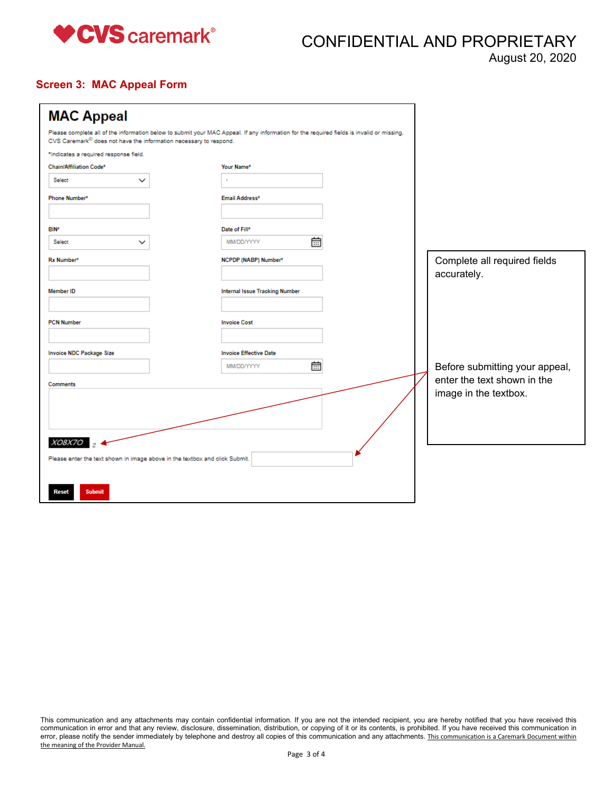

CONFIDENTIAL AND PROPRIETARY

August 20, 2020

#### **Screen 3: MAC Appeal Form**

| <b>MAC Appeal</b>                                                           |                                                                                                                                           |                                             |
|-----------------------------------------------------------------------------|-------------------------------------------------------------------------------------------------------------------------------------------|---------------------------------------------|
| CVS Caremark® does not have the information necessary to respond.           | Please complete all of the information below to submit your MAC Appeal. If any information for the required fields is invalid or missing, |                                             |
| *Indicates a required response field.                                       |                                                                                                                                           |                                             |
| Chain/Affiliation Code*                                                     | Your Name*                                                                                                                                |                                             |
| Select<br>$\check{ }$                                                       |                                                                                                                                           |                                             |
| Phone Number*                                                               | Email Address*                                                                                                                            |                                             |
|                                                                             |                                                                                                                                           |                                             |
| <b>BIN*</b>                                                                 | Date of Fill*                                                                                                                             |                                             |
| Select                                                                      | 崮<br>MM/DD/YYYY                                                                                                                           |                                             |
| Rx Number*                                                                  | NCPDP (NABP) Number*                                                                                                                      | Complete all required fields<br>accurately. |
| <b>Member ID</b>                                                            | <b>Internal Issue Tracking Number</b>                                                                                                     |                                             |
| <b>PCN Number</b>                                                           | <b>Invoice Cost</b>                                                                                                                       |                                             |
| <b>Invoice NDC Package Size</b>                                             | <b>Invoice Effective Date</b>                                                                                                             |                                             |
|                                                                             | 龠<br>MM/DD/YYYY                                                                                                                           | Before submitting your appeal,              |
| <b>Comments</b>                                                             |                                                                                                                                           | enter the text shown in the                 |
| XO8X7O                                                                      |                                                                                                                                           | image in the textbox.                       |
| Please enter the text shown in image above in the textbox and click Submit. |                                                                                                                                           |                                             |
| <b>Submit</b><br>Reset                                                      |                                                                                                                                           |                                             |